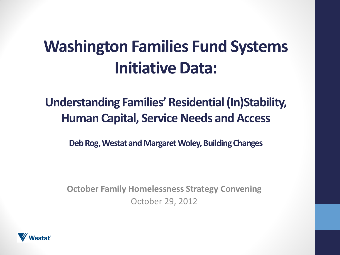## **Washington Families Fund Systems Initiative Data:**

**Understanding Families' Residential (In)Stability, Human Capital, Service Needs and Access**

**Deb Rog, Westat and Margaret Woley, Building Changes** 

**October Family Homelessness Strategy Convening** October 29, 2012

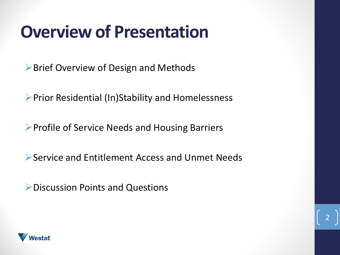#### **Overview of Presentation**

**► Brief Overview of Design and Methods** 

Prior Residential (In)Stability and Homelessness

▶ Profile of Service Needs and Housing Barriers

Service and Entitlement Access and Unmet Needs

2

Discussion Points and Questions

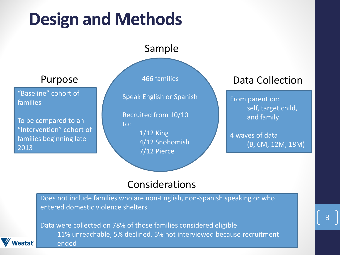# **Design and Methods**

#### Sample

Purpose

"Baseline" cohort of families

To be compared to an "Intervention" cohort of families beginning late 2013

*lestať* 

466 families

Speak English or Spanish

Recruited from 10/10 to:

> 1/12 King 4/12 Snohomish 7/12 Pierce

#### Data Collection

From parent on: self, target child, and family

4 waves of data (B, 6M, 12M, 18M)

#### Considerations

Does not include families who are non-English, non-Spanish speaking or who entered domestic violence shelters

Data were collected on 78% of those families considered eligible 11% unreachable, 5% declined, 5% not interviewed because recruitment ended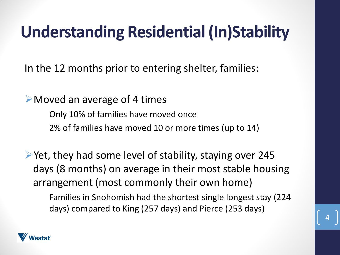## **Understanding Residential (In)Stability**

In the 12 months prior to entering shelter, families:

Moved an average of 4 times

Only 10% of families have moved once 2% of families have moved 10 or more times (up to 14)

 $\triangleright$  Yet, they had some level of stability, staying over 245 days (8 months) on average in their most stable housing arrangement (most commonly their own home)

Families in Snohomish had the shortest single longest stay (224 days) compared to King (257 days) and Pierce (253 days)

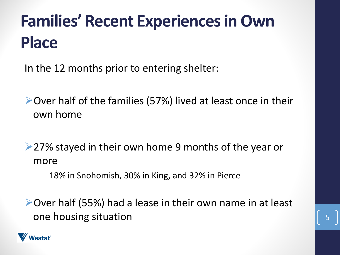# **Families' Recent Experiences in Own Place**

In the 12 months prior to entering shelter:

Over half of the families (57%) lived at least once in their own home

▶ 27% stayed in their own home 9 months of the year or more

18% in Snohomish, 30% in King, and 32% in Pierce

Over half (55%) had a lease in their own name in at least one housing situation 5

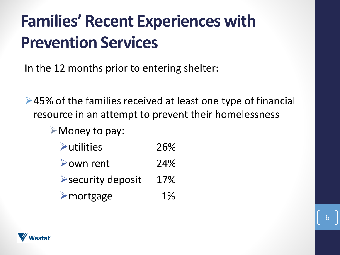# **Families' Recent Experiences with Prevention Services**

In the 12 months prior to entering shelter:

**►45% of the families received at least one type of financial** resource in an attempt to prevent their homelessness

6

Money to pay:

| $\blacktriangleright$ utilities | 26%   |
|---------------------------------|-------|
| $\triangleright$ own rent       | 24%   |
| Security deposit                | 17%   |
| $\triangleright$ mortgage       | $1\%$ |

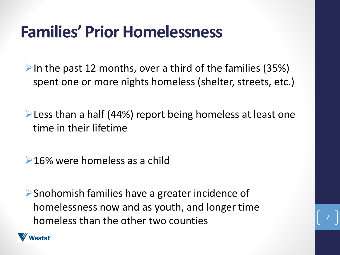#### **Families' Prior Homelessness**

In the past 12 months, over a third of the families (35%) spent one or more nights homeless (shelter, streets, etc.)

 $\blacktriangleright$  Less than a half (44%) report being homeless at least one time in their lifetime

**►16% were homeless as a child** 

Snohomish families have a greater incidence of homelessness now and as youth, and longer time homeless than the other two counties

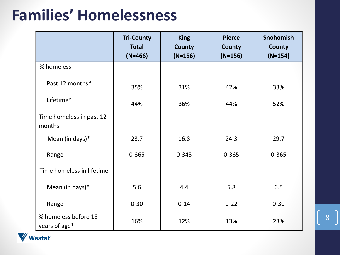#### **Families' Homelessness**

|                                       | <b>Tri-County</b><br><b>Total</b><br>$(N=466)$ | <b>King</b><br><b>County</b><br>$(N=156)$ | <b>Pierce</b><br><b>County</b><br>$(N=156)$ | <b>Snohomish</b><br><b>County</b><br>$(N=154)$ |
|---------------------------------------|------------------------------------------------|-------------------------------------------|---------------------------------------------|------------------------------------------------|
| % homeless                            |                                                |                                           |                                             |                                                |
| Past 12 months*                       | 35%                                            | 31%                                       | 42%                                         | 33%                                            |
| Lifetime*                             | 44%                                            | 36%                                       | 44%                                         | 52%                                            |
| Time homeless in past 12<br>months    |                                                |                                           |                                             |                                                |
| Mean (in days)*                       | 23.7                                           | 16.8                                      | 24.3                                        | 29.7                                           |
| Range                                 | $0 - 365$                                      | $0 - 345$                                 | $0 - 365$                                   | $0 - 365$                                      |
| Time homeless in lifetime             |                                                |                                           |                                             |                                                |
| Mean (in days)*                       | 5.6                                            | 4.4                                       | 5.8                                         | 6.5                                            |
| Range                                 | $0 - 30$                                       | $0 - 14$                                  | $0 - 22$                                    | $0 - 30$                                       |
| % homeless before 18<br>years of age* | 16%                                            | 12%                                       | 13%                                         | 23%                                            |

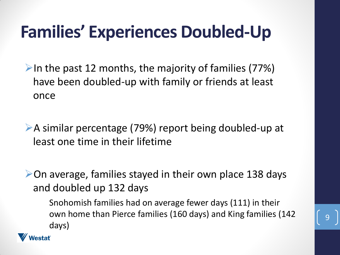# **Families' Experiences Doubled-Up**

In the past 12 months, the majority of families  $(77%)$ have been doubled-up with family or friends at least once

A similar percentage (79%) report being doubled-up at least one time in their lifetime

 $\triangleright$  On average, families stayed in their own place 138 days and doubled up 132 days

Snohomish families had on average fewer days (111) in their own home than Pierce families (160 days) and King families (142 days)

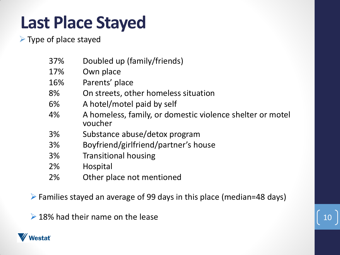## **Last Place Stayed**

 $\triangleright$  Type of place stayed

| 37% | Doubled up (family/friends)                                          |
|-----|----------------------------------------------------------------------|
| 17% | Own place                                                            |
| 16% | Parents' place                                                       |
| 8%  | On streets, other homeless situation                                 |
| 6%  | A hotel/motel paid by self                                           |
| 4%  | A homeless, family, or domestic violence shelter or motel<br>voucher |
| 3%  | Substance abuse/detox program                                        |
| 3%  | Boyfriend/girlfriend/partner's house                                 |
| 3%  | <b>Transitional housing</b>                                          |
| 2%  | Hospital                                                             |
| 2%  | Other place not mentioned                                            |
|     |                                                                      |

Families stayed an average of 99 days in this place (median=48 days)

 $\geq 18\%$  had their name on the lease

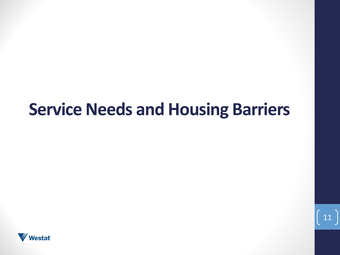#### **Service Needs and Housing Barriers**

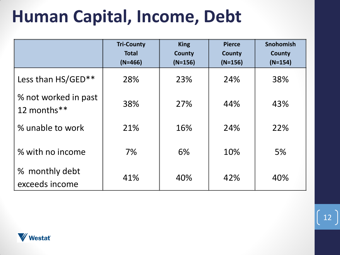## **Human Capital, Income, Debt**

|                                     | <b>Tri-County</b><br><b>Total</b><br>$(N=466)$ | <b>King</b><br>County<br>$(N=156)$ | <b>Pierce</b><br><b>County</b><br>$(N=156)$ | <b>Snohomish</b><br>County<br>$(N=154)$ |
|-------------------------------------|------------------------------------------------|------------------------------------|---------------------------------------------|-----------------------------------------|
| Less than HS/GED**                  | 28%                                            | 23%                                | 24%                                         | 38%                                     |
| % not worked in past<br>12 months** | 38%                                            | 27%                                | 44%                                         | 43%                                     |
| % unable to work                    | 21%                                            | 16%                                | 24%                                         | 22%                                     |
| % with no income                    | 7%                                             | 6%                                 | 10%                                         | 5%                                      |
| % monthly debt<br>exceeds income    | 41%                                            | 40%                                | 42%                                         | 40%                                     |

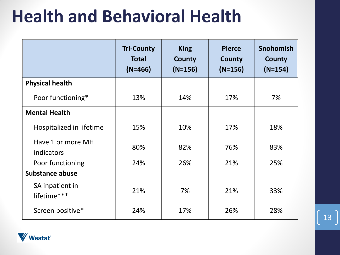## **Health and Behavioral Health**

|                                 | <b>Tri-County</b><br><b>Total</b><br>$(N=466)$ | <b>King</b><br><b>County</b><br>$(N=156)$ | <b>Pierce</b><br>County<br>$(N=156)$ | <b>Snohomish</b><br><b>County</b><br>$(N=154)$ |
|---------------------------------|------------------------------------------------|-------------------------------------------|--------------------------------------|------------------------------------------------|
| <b>Physical health</b>          |                                                |                                           |                                      |                                                |
| Poor functioning*               | 13%                                            | 14%                                       | 17%                                  | 7%                                             |
| <b>Mental Health</b>            |                                                |                                           |                                      |                                                |
| Hospitalized in lifetime        | 15%                                            | 10%                                       | 17%                                  | 18%                                            |
| Have 1 or more MH<br>indicators | 80%                                            | 82%                                       | 76%                                  | 83%                                            |
| Poor functioning                | 24%                                            | 26%                                       | 21%                                  | 25%                                            |
| <b>Substance abuse</b>          |                                                |                                           |                                      |                                                |
| SA inpatient in<br>lifetime***  | 21%                                            | 7%                                        | 21%                                  | 33%                                            |
| Screen positive*                | 24%                                            | 17%                                       | 26%                                  | 28%                                            |

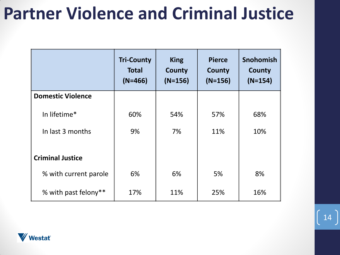## **Partner Violence and Criminal Justice**

|                          | <b>Tri-County</b><br><b>Total</b><br>$(N=466)$ | <b>King</b><br>County<br>$(N=156)$ | <b>Pierce</b><br>County<br>$(N=156)$ | <b>Snohomish</b><br>County<br>$(N=154)$ |
|--------------------------|------------------------------------------------|------------------------------------|--------------------------------------|-----------------------------------------|
| <b>Domestic Violence</b> |                                                |                                    |                                      |                                         |
| In lifetime*             | 60%                                            | 54%                                | 57%                                  | 68%                                     |
| In last 3 months         | 9%                                             | 7%                                 | 11%                                  | 10%                                     |
| <b>Criminal Justice</b>  |                                                |                                    |                                      |                                         |
| % with current parole    | 6%                                             | 6%                                 | 5%                                   | 8%                                      |
| % with past felony**     | 17%                                            | 11%                                | 25%                                  | 16%                                     |

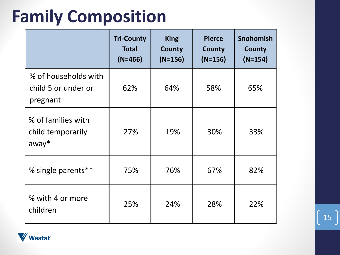## **Family Composition**

|                                                         | <b>Tri-County</b><br><b>Total</b><br>$(N=466)$ | <b>King</b><br>County<br>$(N=156)$ | <b>Pierce</b><br>County<br>$(N=156)$ | <b>Snohomish</b><br>County<br>$(N=154)$ |
|---------------------------------------------------------|------------------------------------------------|------------------------------------|--------------------------------------|-----------------------------------------|
| % of households with<br>child 5 or under or<br>pregnant | 62%                                            | 64%                                | 58%                                  | 65%                                     |
| % of families with<br>child temporarily<br>$away*$      | 27%                                            | 19%                                | 30%                                  | 33%                                     |
| % single parents**                                      | 75%                                            | 76%                                | 67%                                  | 82%                                     |
| % with 4 or more<br>children                            | 25%                                            | 24%                                | 28%                                  | 22%                                     |

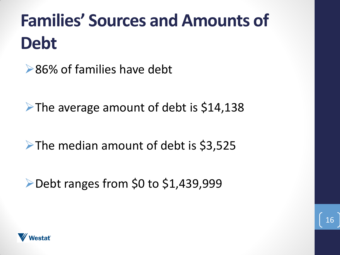# **Families' Sources and Amounts of Debt**

**►86% of families have debt** 

 $\blacktriangleright$ The average amount of debt is \$14,138

 $\blacktriangleright$  The median amount of debt is \$3,525

▶Debt ranges from \$0 to \$1,439,999

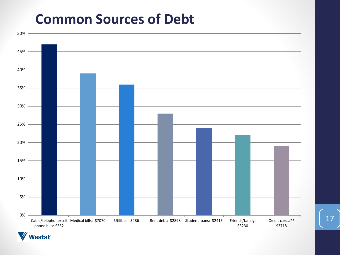#### **Common Sources of Debt**



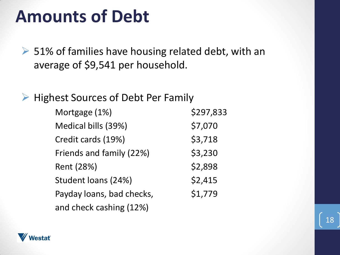#### **Amounts of Debt**

 $\geq$  51% of families have housing related debt, with an average of \$9,541 per household.

 $\triangleright$  Highest Sources of Debt Per Family

| Mortgage (1%)             | \$297,833 |
|---------------------------|-----------|
| Medical bills (39%)       | \$7,070   |
| Credit cards (19%)        | \$3,718   |
| Friends and family (22%)  | \$3,230   |
| Rent (28%)                | \$2,898   |
| Student loans (24%)       | \$2,415   |
| Payday loans, bad checks, | \$1,779   |
| and check cashing (12%)   |           |

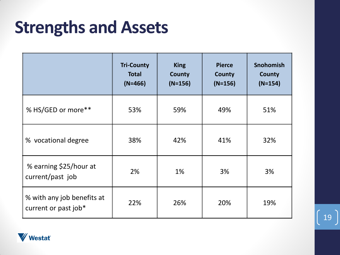#### **Strengths and Assets**

|                                                    | <b>Tri-County</b><br><b>Total</b><br>$(N=466)$ | <b>King</b><br><b>County</b><br>$(N=156)$ | <b>Pierce</b><br><b>County</b><br>$(N=156)$ | <b>Snohomish</b><br><b>County</b><br>$(N=154)$ |
|----------------------------------------------------|------------------------------------------------|-------------------------------------------|---------------------------------------------|------------------------------------------------|
| % HS/GED or more**                                 | 53%                                            | 59%                                       | 49%                                         | 51%                                            |
| % vocational degree                                | 38%                                            | 42%                                       | 41%                                         | 32%                                            |
| % earning \$25/hour at<br>current/past job         | 2%                                             | 1%                                        | 3%                                          | 3%                                             |
| % with any job benefits at<br>current or past job* | 22%                                            | 26%                                       | 20%                                         | 19%                                            |

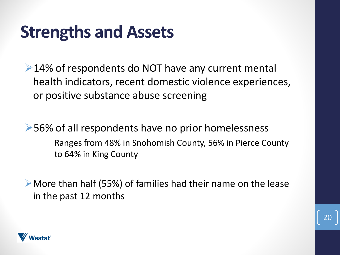#### **Strengths and Assets**

 $\geq$  14% of respondents do NOT have any current mental health indicators, recent domestic violence experiences, or positive substance abuse screening

**►56% of all respondents have no prior homelessness** Ranges from 48% in Snohomish County, 56% in Pierce County to 64% in King County

More than half (55%) of families had their name on the lease in the past 12 months

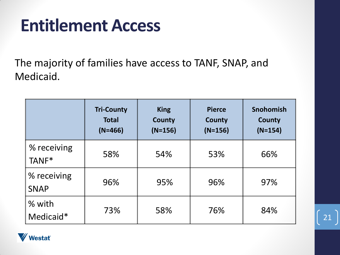#### **Entitlement Access**

The majority of families have access to TANF, SNAP, and Medicaid.

|                            | <b>Tri-County</b><br><b>Total</b><br>$(N=466)$ | <b>King</b><br>County<br>$(N=156)$ | <b>Pierce</b><br>County<br>$(N=156)$ | <b>Snohomish</b><br>County<br>$(N=154)$ |
|----------------------------|------------------------------------------------|------------------------------------|--------------------------------------|-----------------------------------------|
| % receiving<br>TANF*       | 58%                                            | 54%                                | 53%                                  | 66%                                     |
| % receiving<br><b>SNAP</b> | 96%                                            | 95%                                | 96%                                  | 97%                                     |
| % with<br>Medicaid*        | 73%                                            | 58%                                | 76%                                  | 84%                                     |

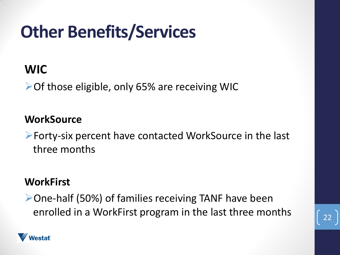# **Other Benefits/Services**

#### **WIC**

**► Of those eligible, only 65% are receiving WIC** 

#### **WorkSource**

Forty-six percent have contacted WorkSource in the last three months

#### **WorkFirst**

One-half (50%) of families receiving TANF have been enrolled in a WorkFirst program in the last three months



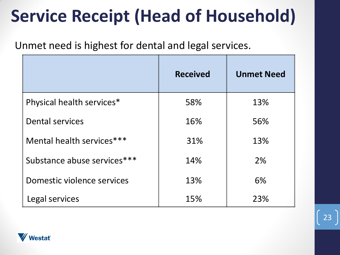# **Service Receipt (Head of Household)**

Unmet need is highest for dental and legal services.

|                             | <b>Received</b> | <b>Unmet Need</b> |
|-----------------------------|-----------------|-------------------|
| Physical health services*   | 58%             | 13%               |
| <b>Dental services</b>      | 16%             | 56%               |
| Mental health services***   | 31%             | 13%               |
| Substance abuse services*** | 14%             | 2%                |
| Domestic violence services  | 13%             | 6%                |
| Legal services              | 15%             | 23%               |

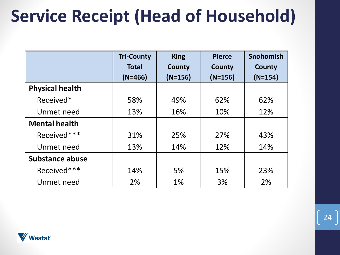# **Service Receipt (Head of Household)**

|                        | <b>Tri-County</b> | <b>King</b> | <b>Pierce</b> | <b>Snohomish</b> |
|------------------------|-------------------|-------------|---------------|------------------|
|                        | <b>Total</b>      | County      | County        | County           |
|                        | $(N=466)$         | $(N=156)$   | $(N=156)$     | $(N=154)$        |
| <b>Physical health</b> |                   |             |               |                  |
| Received*              | 58%               | 49%         | 62%           | 62%              |
| Unmet need             | 13%               | 16%         | 10%           | 12%              |
| <b>Mental health</b>   |                   |             |               |                  |
| Received***            | 31%               | 25%         | 27%           | 43%              |
| Unmet need             | 13%               | 14%         | 12%           | 14%              |
| Substance abuse        |                   |             |               |                  |
| Received***            | 14%               | 5%          | 15%           | 23%              |
| Unmet need             | 2%                | $1\%$       | 3%            | 2%               |